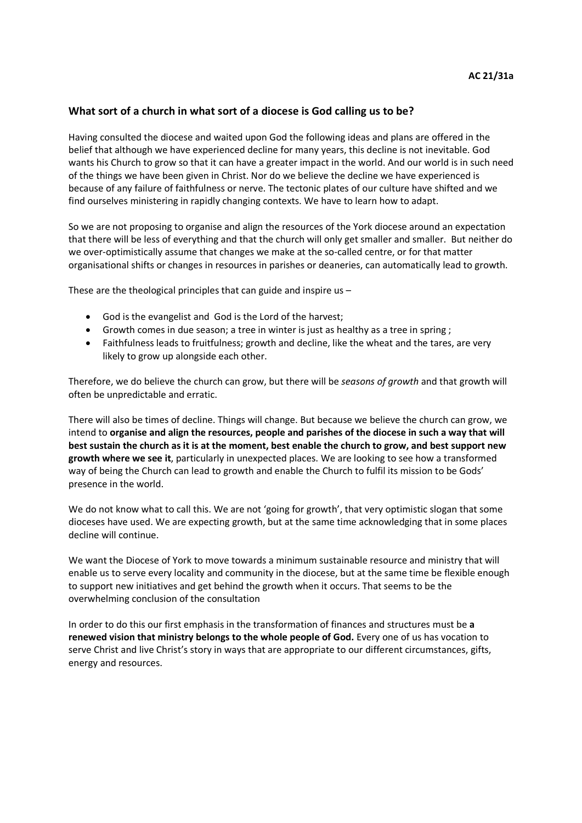## **What sort of a church in what sort of a diocese is God calling us to be?**

Having consulted the diocese and waited upon God the following ideas and plans are offered in the belief that although we have experienced decline for many years, this decline is not inevitable. God wants his Church to grow so that it can have a greater impact in the world. And our world is in such need of the things we have been given in Christ. Nor do we believe the decline we have experienced is because of any failure of faithfulness or nerve. The tectonic plates of our culture have shifted and we find ourselves ministering in rapidly changing contexts. We have to learn how to adapt.

So we are not proposing to organise and align the resources of the York diocese around an expectation that there will be less of everything and that the church will only get smaller and smaller. But neither do we over-optimistically assume that changes we make at the so-called centre, or for that matter organisational shifts or changes in resources in parishes or deaneries, can automatically lead to growth.

These are the theological principles that can guide and inspire us –

- God is the evangelist and God is the Lord of the harvest;
- Growth comes in due season; a tree in winter is just as healthy as a tree in spring ;
- Faithfulness leads to fruitfulness; growth and decline, like the wheat and the tares, are very likely to grow up alongside each other.

Therefore, we do believe the church can grow, but there will be *seasons of growth* and that growth will often be unpredictable and erratic.

There will also be times of decline. Things will change. But because we believe the church can grow, we intend to **organise and align the resources, people and parishes of the diocese in such a way that will best sustain the church as it is at the moment, best enable the church to grow, and best support new growth where we see it**, particularly in unexpected places. We are looking to see how a transformed way of being the Church can lead to growth and enable the Church to fulfil its mission to be Gods' presence in the world.

We do not know what to call this. We are not 'going for growth', that very optimistic slogan that some dioceses have used. We are expecting growth, but at the same time acknowledging that in some places decline will continue.

We want the Diocese of York to move towards a minimum sustainable resource and ministry that will enable us to serve every locality and community in the diocese, but at the same time be flexible enough to support new initiatives and get behind the growth when it occurs. That seems to be the overwhelming conclusion of the consultation

In order to do this our first emphasis in the transformation of finances and structures must be **a renewed vision that ministry belongs to the whole people of God.** Every one of us has vocation to serve Christ and live Christ's story in ways that are appropriate to our different circumstances, gifts, energy and resources.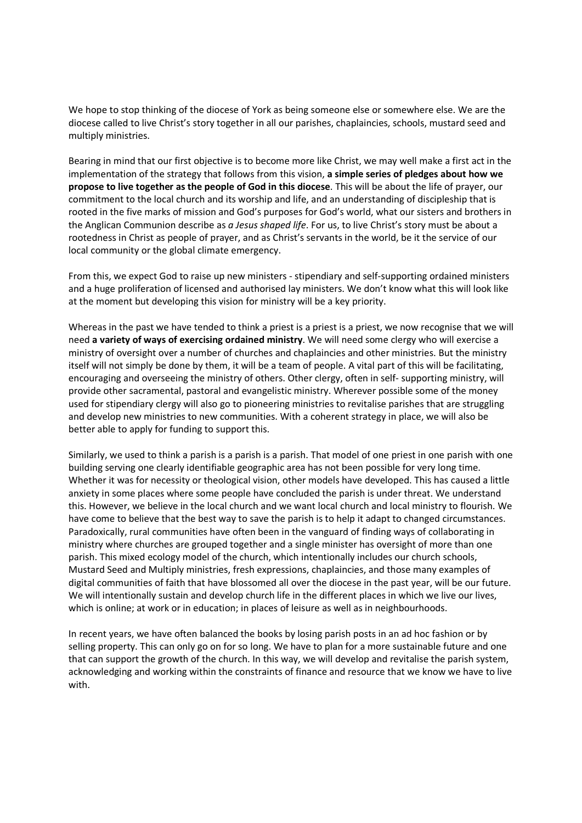We hope to stop thinking of the diocese of York as being someone else or somewhere else. We are the diocese called to live Christ's story together in all our parishes, chaplaincies, schools, mustard seed and multiply ministries.

Bearing in mind that our first objective is to become more like Christ, we may well make a first act in the implementation of the strategy that follows from this vision, **a simple series of pledges about how we propose to live together as the people of God in this diocese**. This will be about the life of prayer, our commitment to the local church and its worship and life, and an understanding of discipleship that is rooted in the five marks of mission and God's purposes for God's world, what our sisters and brothers in the Anglican Communion describe as *a Jesus shaped life*. For us, to live Christ's story must be about a rootedness in Christ as people of prayer, and as Christ's servants in the world, be it the service of our local community or the global climate emergency.

From this, we expect God to raise up new ministers - stipendiary and self-supporting ordained ministers and a huge proliferation of licensed and authorised lay ministers. We don't know what this will look like at the moment but developing this vision for ministry will be a key priority.

Whereas in the past we have tended to think a priest is a priest is a priest, we now recognise that we will need **a variety of ways of exercising ordained ministry**. We will need some clergy who will exercise a ministry of oversight over a number of churches and chaplaincies and other ministries. But the ministry itself will not simply be done by them, it will be a team of people. A vital part of this will be facilitating, encouraging and overseeing the ministry of others. Other clergy, often in self- supporting ministry, will provide other sacramental, pastoral and evangelistic ministry. Wherever possible some of the money used for stipendiary clergy will also go to pioneering ministries to revitalise parishes that are struggling and develop new ministries to new communities. With a coherent strategy in place, we will also be better able to apply for funding to support this.

Similarly, we used to think a parish is a parish is a parish. That model of one priest in one parish with one building serving one clearly identifiable geographic area has not been possible for very long time. Whether it was for necessity or theological vision, other models have developed. This has caused a little anxiety in some places where some people have concluded the parish is under threat. We understand this. However, we believe in the local church and we want local church and local ministry to flourish. We have come to believe that the best way to save the parish is to help it adapt to changed circumstances. Paradoxically, rural communities have often been in the vanguard of finding ways of collaborating in ministry where churches are grouped together and a single minister has oversight of more than one parish. This mixed ecology model of the church, which intentionally includes our church schools, Mustard Seed and Multiply ministries, fresh expressions, chaplaincies, and those many examples of digital communities of faith that have blossomed all over the diocese in the past year, will be our future. We will intentionally sustain and develop church life in the different places in which we live our lives, which is online; at work or in education; in places of leisure as well as in neighbourhoods.

In recent years, we have often balanced the books by losing parish posts in an ad hoc fashion or by selling property. This can only go on for so long. We have to plan for a more sustainable future and one that can support the growth of the church. In this way, we will develop and revitalise the parish system, acknowledging and working within the constraints of finance and resource that we know we have to live with.